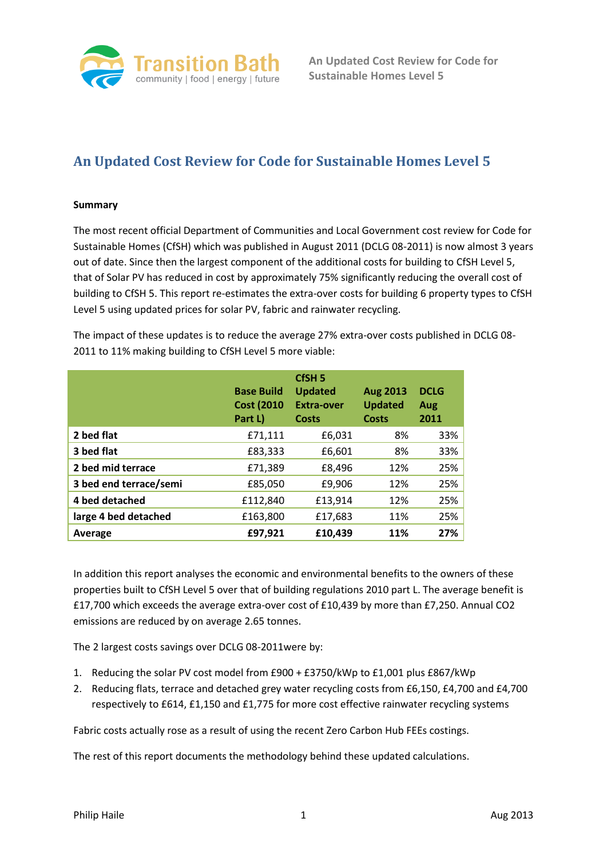

# **An Updated Cost Review for Code for Sustainable Homes Level 5**

## **Summary**

The most recent official Department of Communities and Local Government cost review for Code for Sustainable Homes (CfSH) which was published in August 2011 (DCLG 08-2011) is now almost 3 years out of date. Since then the largest component of the additional costs for building to CfSH Level 5, that of Solar PV has reduced in cost by approximately 75% significantly reducing the overall cost of building to CfSH 5. This report re-estimates the extra-over costs for building 6 property types to CfSH Level 5 using updated prices for solar PV, fabric and rainwater recycling.

The impact of these updates is to reduce the average 27% extra-over costs published in DCLG 08- 2011 to 11% making building to CfSH Level 5 more viable:

|                        | <b>Base Build</b><br><b>Cost (2010)</b><br>Part L) | CfSH <sub>5</sub><br><b>Updated</b><br><b>Extra-over</b><br>Costs | <b>Aug 2013</b><br><b>Updated</b><br>Costs | <b>DCLG</b><br>Aug<br>2011 |
|------------------------|----------------------------------------------------|-------------------------------------------------------------------|--------------------------------------------|----------------------------|
| 2 bed flat             | £71,111                                            | £6,031                                                            | 8%                                         | 33%                        |
| 3 bed flat             | £83,333                                            | £6,601                                                            | 8%                                         | 33%                        |
| 2 bed mid terrace      | £71,389                                            | £8,496                                                            | 12%                                        | 25%                        |
| 3 bed end terrace/semi | £85,050                                            | £9,906                                                            | 12%                                        | 25%                        |
| 4 bed detached         | £112,840                                           | £13,914                                                           | 12%                                        | 25%                        |
| large 4 bed detached   | £163,800                                           | £17,683                                                           | 11%                                        | 25%                        |
| Average                | £97,921                                            | £10,439                                                           | 11%                                        | 27%                        |

In addition this report analyses the economic and environmental benefits to the owners of these properties built to CfSH Level 5 over that of building regulations 2010 part L. The average benefit is £17,700 which exceeds the average extra-over cost of £10,439 by more than £7,250. Annual CO2 emissions are reduced by on average 2.65 tonnes.

The 2 largest costs savings over DCLG 08-2011were by:

- 1. Reducing the solar PV cost model from £900 + £3750/kWp to £1,001 plus £867/kWp
- 2. Reducing flats, terrace and detached grey water recycling costs from £6,150, £4,700 and £4,700 respectively to £614, £1,150 and £1,775 for more cost effective rainwater recycling systems

Fabric costs actually rose as a result of using the recent Zero Carbon Hub FEEs costings.

The rest of this report documents the methodology behind these updated calculations.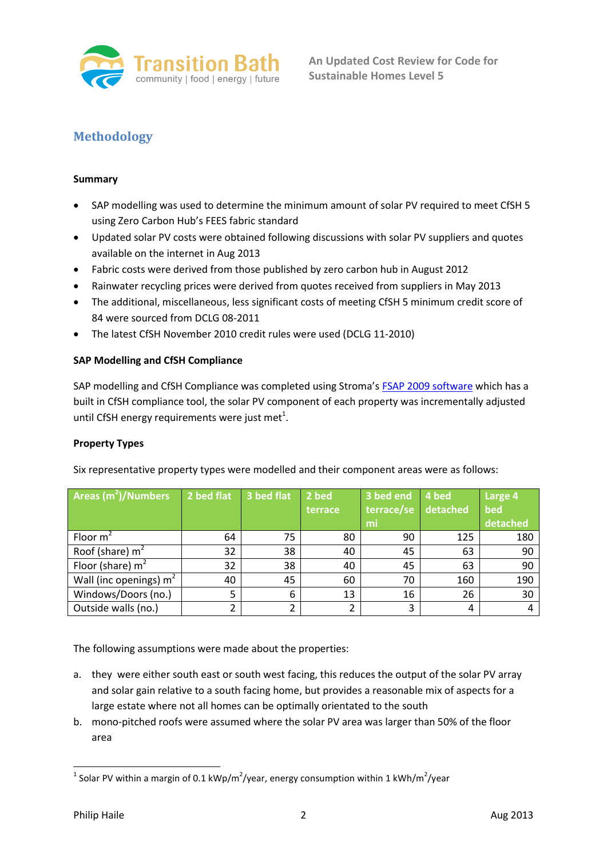

## **Methodology**

## **Summary**

- SAP modelling was used to determine the minimum amount of solar PV required to meet CfSH 5 using Zero Carbon Hub's FEES fabric standard
- Updated solar PV costs were obtained following discussions with solar PV suppliers and quotes available on the internet in Aug 2013
- Fabric costs were derived from those published by zero carbon hub in August 2012
- Rainwater recycling prices were derived from quotes received from suppliers in May 2013
- The additional, miscellaneous, less significant costs of meeting CfSH 5 minimum credit score of 84 were sourced from DCLG 08-2011
- The latest CfSH November 2010 credit rules were used (DCLG 11-2010)

## **SAP Modelling and CfSH Compliance**

SAP modelling and CfSH Compliance was completed using Stroma's FSAP [2009 software](http://www.stroma.com/certification/software/sap-software-fsap) which has a built in CfSH compliance tool, the solar PV component of each property was incrementally adjusted until CfSH energy requirements were just met $^1$ .

## **Property Types**

Six representative property types were modelled and their component areas were as follows:

| <b>Areas <math>(m^2)</math>/Numbers</b> | 2 bed flat | 3 bed flat | 2 bed<br>terrace | 3 bed end<br>terrace/se<br>mi | 4 bed<br>detached | Large 4<br>bed<br>detached |
|-----------------------------------------|------------|------------|------------------|-------------------------------|-------------------|----------------------------|
|                                         |            |            |                  |                               |                   |                            |
| Floor $m2$                              | 64         | 75         | 80               | 90                            | 125               | 180                        |
| Roof (share) $m2$                       | 32         | 38         | 40               | 45                            | 63                | 90                         |
| Floor (share) $m2$                      | 32         | 38         | 40               | 45                            | 63                | 90                         |
| Wall (inc openings) $m2$                | 40         | 45         | 60               | 70                            | 160               | 190                        |
| Windows/Doors (no.)                     | 5          | 6          | 13               | 16                            | 26                | 30                         |
| Outside walls (no.)                     | 2          |            |                  | 3                             | 4                 |                            |

The following assumptions were made about the properties:

- a. they were either south east or south west facing, this reduces the output of the solar PV array and solar gain relative to a south facing home, but provides a reasonable mix of aspects for a large estate where not all homes can be optimally orientated to the south
- b. mono-pitched roofs were assumed where the solar PV area was larger than 50% of the floor area

**<sup>.</sup>** <sup>1</sup> Solar PV within a margin of 0.1 kWp/m<sup>2</sup>/year, energy consumption within 1 kWh/m<sup>2</sup>/year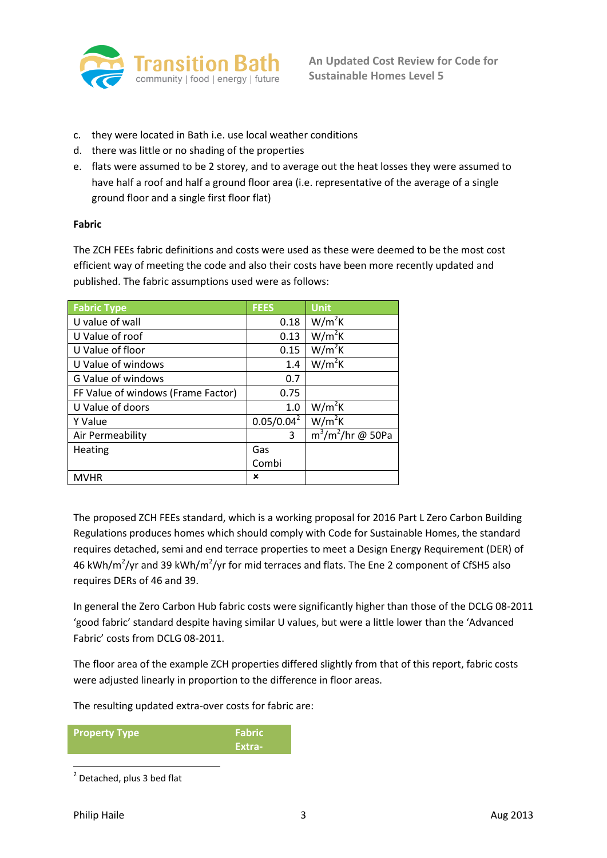

- c. they were located in Bath i.e. use local weather conditions
- d. there was little or no shading of the properties
- e. flats were assumed to be 2 storey, and to average out the heat losses they were assumed to have half a roof and half a ground floor area (i.e. representative of the average of a single ground floor and a single first floor flat)

## **Fabric**

The ZCH FEEs fabric definitions and costs were used as these were deemed to be the most cost efficient way of meeting the code and also their costs have been more recently updated and published. The fabric assumptions used were as follows:

| <b>Fabric Type</b>                 | <b>FEES</b>   | Unit                 |
|------------------------------------|---------------|----------------------|
| U value of wall                    | 0.18          | $W/m^2K$             |
| U Value of roof                    | 0.13          | $W/m^2K$             |
| U Value of floor                   | 0.15          | $W/m^2K$             |
| U Value of windows                 | 1.4           | $W/m^2K$             |
| G Value of windows                 | 0.7           |                      |
| FF Value of windows (Frame Factor) | 0.75          |                      |
| U Value of doors                   | 1.0           | $W/m^2K$             |
| Y Value                            | $0.05/0.04^2$ | $W/m^2K$             |
| Air Permeability                   | 3             | $m^3/m^2$ /hr @ 50Pa |
| <b>Heating</b>                     | Gas           |                      |
|                                    | Combi         |                      |
| <b>MVHR</b>                        | ×             |                      |

The proposed ZCH FEEs standard, which is a working proposal for 2016 Part L Zero Carbon Building Regulations produces homes which should comply with Code for Sustainable Homes, the standard requires detached, semi and end terrace properties to meet a Design Energy Requirement (DER) of 46 kWh/m<sup>2</sup>/yr and 39 kWh/m<sup>2</sup>/yr for mid terraces and flats. The Ene 2 component of CfSH5 also requires DERs of 46 and 39.

In general the Zero Carbon Hub fabric costs were significantly higher than those of the DCLG 08-2011 'good fabric' standard despite having similar U values, but were a little lower than the 'Advanced Fabric' costs from DCLG 08-2011.

The floor area of the example ZCH properties differed slightly from that of this report, fabric costs were adjusted linearly in proportion to the difference in floor areas.

The resulting updated extra-over costs for fabric are:

**Property Type Fabric Fabric Extra-**

**<sup>.</sup>** <sup>2</sup> Detached, plus 3 bed flat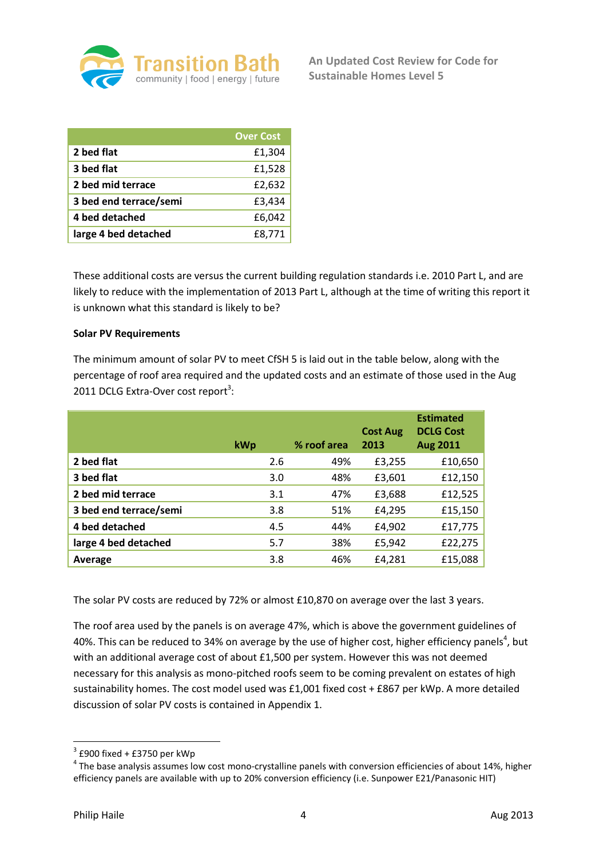

|                        | <b>Over Cost</b> |
|------------------------|------------------|
| 2 bed flat             | £1,304           |
| 3 bed flat             | £1,528           |
| 2 bed mid terrace      | £2,632           |
| 3 bed end terrace/semi | £3,434           |
| 4 bed detached         | £6,042           |
| large 4 bed detached   | £8.771           |

These additional costs are versus the current building regulation standards i.e. 2010 Part L, and are likely to reduce with the implementation of 2013 Part L, although at the time of writing this report it is unknown what this standard is likely to be?

## **Solar PV Requirements**

The minimum amount of solar PV to meet CfSH 5 is laid out in the table below, along with the percentage of roof area required and the updated costs and an estimate of those used in the Aug 2011 DCLG Extra-Over cost report<sup>3</sup>:

|                        | kWp | % roof area | <b>Cost Aug</b><br>2013 | <b>Estimated</b><br><b>DCLG Cost</b><br><b>Aug 2011</b> |
|------------------------|-----|-------------|-------------------------|---------------------------------------------------------|
| 2 bed flat             | 2.6 | 49%         | £3,255                  | £10,650                                                 |
| 3 bed flat             | 3.0 | 48%         | £3,601                  | £12,150                                                 |
| 2 bed mid terrace      | 3.1 | 47%         | £3,688                  | £12,525                                                 |
| 3 bed end terrace/semi | 3.8 | 51%         | £4,295                  | £15,150                                                 |
| 4 bed detached         | 4.5 | 44%         | £4,902                  | £17,775                                                 |
| large 4 bed detached   | 5.7 | 38%         | £5,942                  | £22,275                                                 |
| Average                | 3.8 | 46%         | £4,281                  | £15,088                                                 |

The solar PV costs are reduced by 72% or almost £10,870 on average over the last 3 years.

The roof area used by the panels is on average 47%, which is above the government guidelines of 40%. This can be reduced to 34% on average by the use of higher cost, higher efficiency panels<sup>4</sup>, but with an additional average cost of about £1,500 per system. However this was not deemed necessary for this analysis as mono-pitched roofs seem to be coming prevalent on estates of high sustainability homes. The cost model used was £1,001 fixed cost + £867 per kWp. A more detailed discussion of solar PV costs is contained in Appendix 1.

 3 £900 fixed + £3750 per kWp

 $<sup>4</sup>$  The base analysis assumes low cost mono-crystalline panels with conversion efficiencies of about 14%, higher</sup> efficiency panels are available with up to 20% conversion efficiency (i.e. Sunpower E21/Panasonic HIT)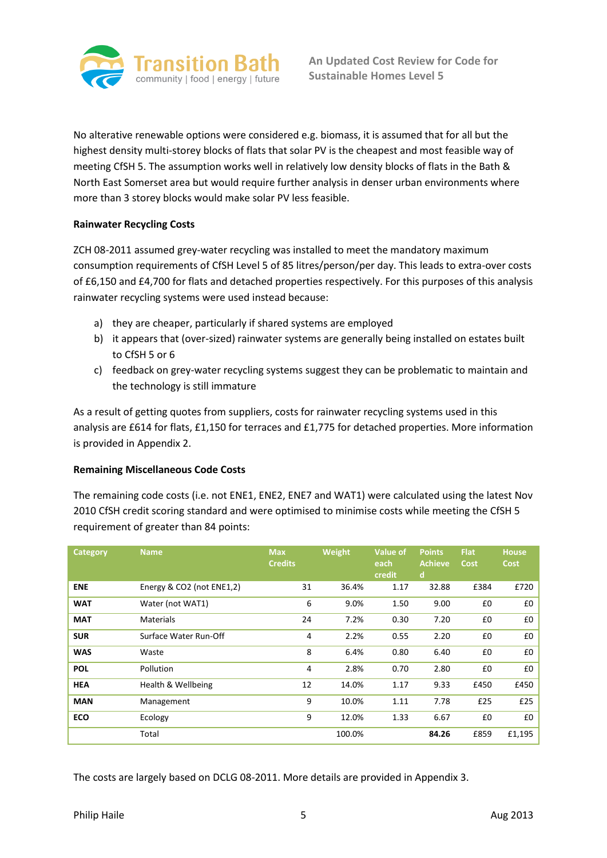

No alterative renewable options were considered e.g. biomass, it is assumed that for all but the highest density multi-storey blocks of flats that solar PV is the cheapest and most feasible way of meeting CfSH 5. The assumption works well in relatively low density blocks of flats in the Bath & North East Somerset area but would require further analysis in denser urban environments where more than 3 storey blocks would make solar PV less feasible.

## **Rainwater Recycling Costs**

ZCH 08-2011 assumed grey-water recycling was installed to meet the mandatory maximum consumption requirements of CfSH Level 5 of 85 litres/person/per day. This leads to extra-over costs of £6,150 and £4,700 for flats and detached properties respectively. For this purposes of this analysis rainwater recycling systems were used instead because:

- a) they are cheaper, particularly if shared systems are employed
- b) it appears that (over-sized) rainwater systems are generally being installed on estates built to CfSH 5 or 6
- c) feedback on grey-water recycling systems suggest they can be problematic to maintain and the technology is still immature

As a result of getting quotes from suppliers, costs for rainwater recycling systems used in this analysis are £614 for flats, £1,150 for terraces and £1,775 for detached properties. More information is provided in Appendix 2.

## **Remaining Miscellaneous Code Costs**

The remaining code costs (i.e. not ENE1, ENE2, ENE7 and WAT1) were calculated using the latest Nov 2010 CfSH credit scoring standard and were optimised to minimise costs while meeting the CfSH 5 requirement of greater than 84 points:

| Category   | <b>Name</b>               | <b>Max</b><br><b>Credits</b> | Weight<br>Value of |      | <b>Points</b><br><b>Achieve</b><br>d | <b>Flat</b><br>Cost | <b>House</b><br><b>Cost</b> |
|------------|---------------------------|------------------------------|--------------------|------|--------------------------------------|---------------------|-----------------------------|
| <b>ENE</b> | Energy & CO2 (not ENE1,2) | 31                           | 36.4%              | 1.17 | 32.88                                | £384                | £720                        |
| <b>WAT</b> | Water (not WAT1)          | 6                            | 9.0%               | 1.50 | 9.00                                 | £0                  | £0                          |
| <b>MAT</b> | <b>Materials</b>          | 24                           | 7.2%               | 0.30 | 7.20                                 | £0                  | £0                          |
| <b>SUR</b> | Surface Water Run-Off     | 4                            | 2.2%               | 0.55 | 2.20                                 | £0                  | £0                          |
| <b>WAS</b> | Waste                     | 8                            | 6.4%               | 0.80 | 6.40                                 | £0                  | £0                          |
| <b>POL</b> | Pollution                 | 4                            | 2.8%               | 0.70 | 2.80                                 | £0                  | £0                          |
| <b>HEA</b> | Health & Wellbeing        | 12                           | 14.0%              | 1.17 | 9.33                                 | £450                | £450                        |
| <b>MAN</b> | Management                | 9                            | 10.0%              | 1.11 | 7.78                                 | £25                 | £25                         |
| ECO        | Ecology                   | 9                            | 12.0%              | 1.33 | 6.67                                 | £0                  | £0                          |
|            | Total                     |                              | 100.0%             |      | 84.26                                | £859                | £1,195                      |

The costs are largely based on DCLG 08-2011. More details are provided in Appendix 3.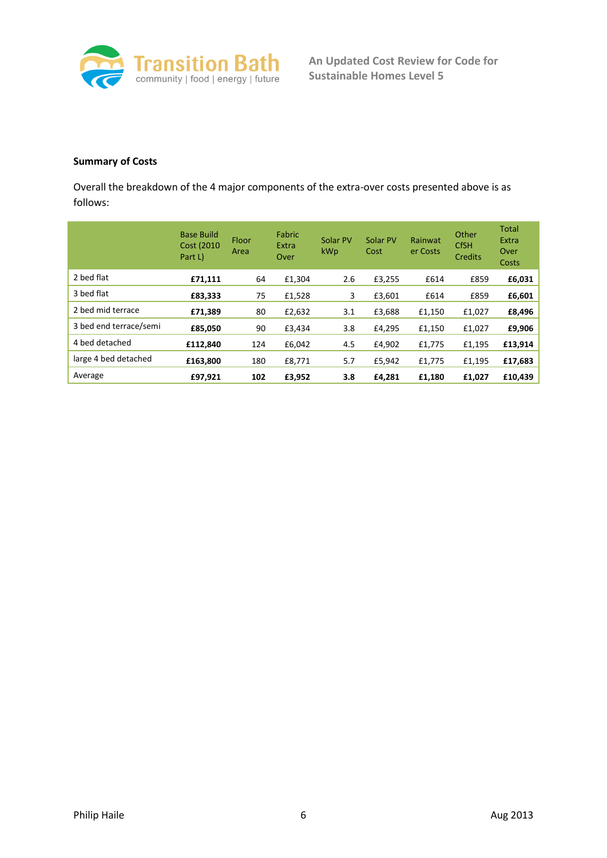

## **Summary of Costs**

Overall the breakdown of the 4 major components of the extra-over costs presented above is as follows:

|                        | <b>Base Build</b><br>Cost (2010)<br>Part L) | Floor<br>Area | Fabric<br>Extra<br>Over | Solar PV<br>kWp | Solar PV<br>Cost | Rainwat<br>er Costs | Other<br><b>CfSH</b><br><b>Credits</b> | <b>Total</b><br>Extra<br>Over<br>Costs |
|------------------------|---------------------------------------------|---------------|-------------------------|-----------------|------------------|---------------------|----------------------------------------|----------------------------------------|
| 2 bed flat             | £71,111                                     | 64            | £1,304                  | 2.6             | £3,255           | £614                | £859                                   | £6,031                                 |
| 3 bed flat             | £83,333                                     | 75            | £1,528                  | 3               | £3,601           | £614                | £859                                   | £6,601                                 |
| 2 bed mid terrace      | £71,389                                     | 80            | £2,632                  | 3.1             | £3,688           | £1,150              | £1,027                                 | £8,496                                 |
| 3 bed end terrace/semi | £85,050                                     | 90            | £3,434                  | 3.8             | £4,295           | £1,150              | £1,027                                 | £9,906                                 |
| 4 bed detached         | £112,840                                    | 124           | £6,042                  | 4.5             | £4,902           | £1,775              | £1,195                                 | £13,914                                |
| large 4 bed detached   | £163,800                                    | 180           | £8,771                  | 5.7             | £5,942           | £1,775              | £1,195                                 | £17,683                                |
| Average                | £97,921                                     | 102           | £3,952                  | 3.8             | £4,281           | £1,180              | £1,027                                 | £10,439                                |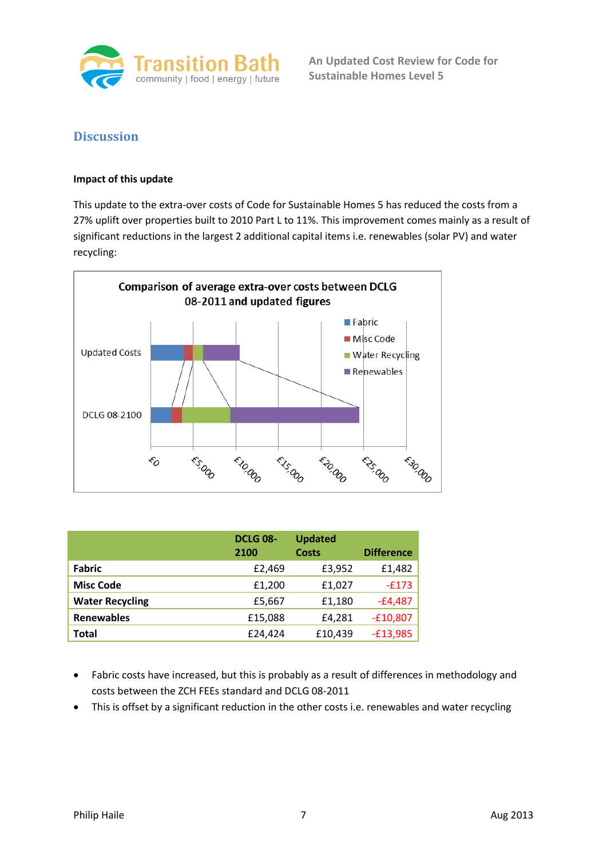

**An Updated Cost Review for Code for Sustainable Homes Level 5**

## **Discussion**

## **Impact of this update**

This update to the extra-over costs of Code for Sustainable Homes 5 has reduced the costs from a 27% uplift over properties built to 2010 Part L to 11%. This improvement comes mainly as a result of significant reductions in the largest 2 additional capital items i.e. renewables (solar PV) and water recycling:



|                        | <b>DCLG 08-</b><br>2100 | <b>Updated</b><br><b>Costs</b> | <b>Difference</b> |
|------------------------|-------------------------|--------------------------------|-------------------|
| <b>Fabric</b>          | £2,469                  | £3,952                         | £1,482            |
| <b>Misc Code</b>       | £1,200                  | £1,027                         | $-E173$           |
| <b>Water Recycling</b> | £5,667                  | £1,180                         | $-£4,487$         |
| <b>Renewables</b>      | £15,088                 | £4,281                         | $-£10,807$        |
| Total                  | £24.424                 | £10,439                        | $-£13,985$        |

- Fabric costs have increased, but this is probably as a result of differences in methodology and costs between the ZCH FEEs standard and DCLG 08-2011
- This is offset by a significant reduction in the other costs i.e. renewables and water recycling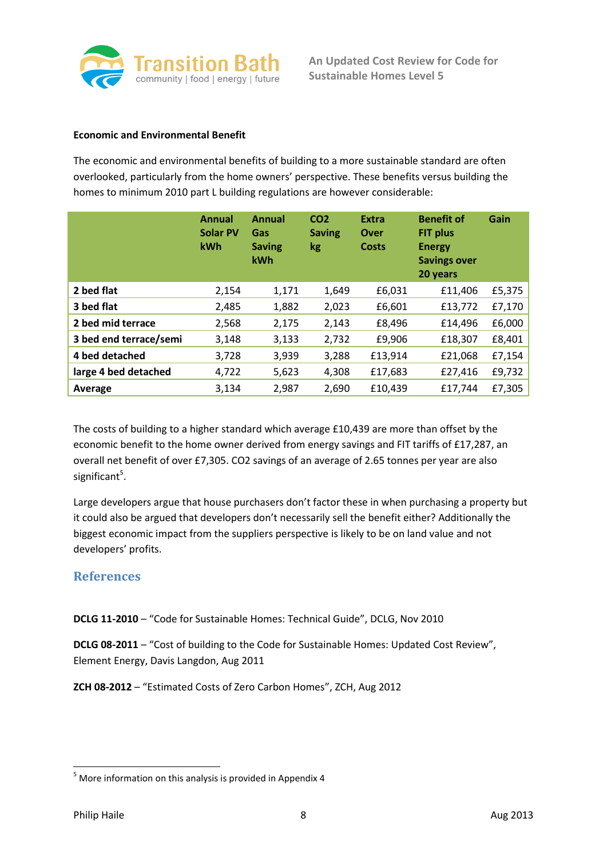

#### **Economic and Environmental Benefit**

The economic and environmental benefits of building to a more sustainable standard are often overlooked, particularly from the home owners' perspective. These benefits versus building the homes to minimum 2010 part L building regulations are however considerable:

|                        | <b>Annual</b><br><b>Solar PV</b><br>kWh | <b>Annual</b><br>CO <sub>2</sub><br><b>Saving</b><br>Gas<br><b>Saving</b><br><b>kg</b><br>kWh |       | <b>Extra</b><br>Over<br><b>Costs</b> | <b>Benefit of</b><br><b>FIT plus</b><br><b>Energy</b><br><b>Savings over</b><br>20 years | Gain   |
|------------------------|-----------------------------------------|-----------------------------------------------------------------------------------------------|-------|--------------------------------------|------------------------------------------------------------------------------------------|--------|
| 2 bed flat             | 2,154                                   | 1,171                                                                                         | 1,649 | £6,031                               | £11,406                                                                                  | £5,375 |
| 3 bed flat             | 2,485                                   | 1,882                                                                                         | 2,023 | £6,601                               | £13,772                                                                                  | £7,170 |
| 2 bed mid terrace      | 2,568                                   | 2,175                                                                                         | 2,143 | £8,496                               | £14,496                                                                                  | £6,000 |
| 3 bed end terrace/semi | 3,148                                   | 3,133                                                                                         | 2,732 | £9,906                               | £18,307                                                                                  | £8,401 |
| 4 bed detached         | 3,728                                   | 3,939                                                                                         | 3,288 | £13,914                              | £21,068                                                                                  | £7,154 |
| large 4 bed detached   | 4,722                                   | 5,623                                                                                         | 4,308 | £17,683                              | £27,416                                                                                  | £9,732 |
| Average                | 3,134                                   | 2,987                                                                                         | 2,690 | £10,439                              | £17,744                                                                                  | £7,305 |

The costs of building to a higher standard which average £10,439 are more than offset by the economic benefit to the home owner derived from energy savings and FIT tariffs of £17,287, an overall net benefit of over £7,305. CO2 savings of an average of 2.65 tonnes per year are also significant<sup>5</sup>.

Large developers argue that house purchasers don't factor these in when purchasing a property but it could also be argued that developers don't necessarily sell the benefit either? Additionally the biggest economic impact from the suppliers perspective is likely to be on land value and not developers' profits.

## **References**

**DCLG 11-2010** – "Code for Sustainable Homes: Technical Guide", DCLG, Nov 2010

**DCLG 08-2011** – "Cost of building to the Code for Sustainable Homes: Updated Cost Review", Element Energy, Davis Langdon, Aug 2011

**ZCH 08-2012** – "Estimated Costs of Zero Carbon Homes", ZCH, Aug 2012

**.** 

 $5$  More information on this analysis is provided in Appendix 4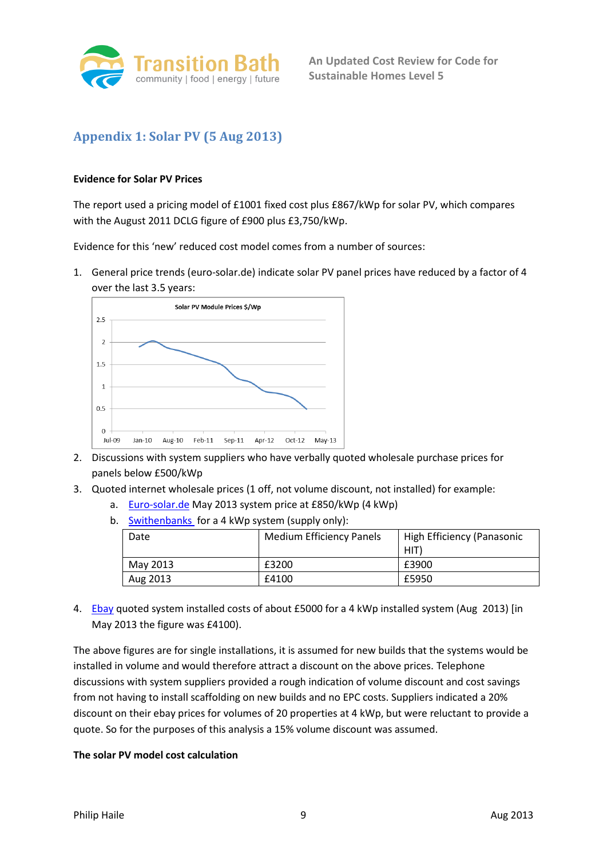

# **Appendix 1: Solar PV (5 Aug 2013)**

## **Evidence for Solar PV Prices**

The report used a pricing model of £1001 fixed cost plus £867/kWp for solar PV, which compares with the August 2011 DCLG figure of £900 plus £3,750/kWp.

Evidence for this 'new' reduced cost model comes from a number of sources:

1. General price trends (euro-solar.de) indicate solar PV panel prices have reduced by a factor of 4 over the last 3.5 years:



- 2. Discussions with system suppliers who have verbally quoted wholesale purchase prices for panels below £500/kWp
- 3. Quoted internet wholesale prices (1 off, not volume discount, not installed) for example:
	- a. [Euro-solar.de](http://www.europe-solar.de/catalog/index.php?main_page=page_3) May 2013 system price at £850/kWp (4 kWp)
	- b. [Swithenbanks](http://www.swithenbanks.co.uk/shop.php?c1=Solar%20Photovoltaic%20Equipment&c2=Special%20Offer%20Packages&c3=PV%20Packages) for a 4 kWp system (supply only):

| Date     | <b>Medium Efficiency Panels</b> | High Efficiency (Panasonic<br>HIT) |
|----------|---------------------------------|------------------------------------|
| May 2013 | £3200                           | £3900                              |
| Aug 2013 | £4100                           | £5950                              |

4. [Ebay](http://www.ebay.co.uk/sch/i.html?_sop=2&_sacat=0&_from=R40&_nkw=Solar%20pv%204%20kW%20installed&_mPrRngCbx=1&_udlo=3%2C400&_udhi=5%2C400) quoted system installed costs of about £5000 for a 4 kWp installed system (Aug 2013) [in May 2013 the figure was £4100).

The above figures are for single installations, it is assumed for new builds that the systems would be installed in volume and would therefore attract a discount on the above prices. Telephone discussions with system suppliers provided a rough indication of volume discount and cost savings from not having to install scaffolding on new builds and no EPC costs. Suppliers indicated a 20% discount on their ebay prices for volumes of 20 properties at 4 kWp, but were reluctant to provide a quote. So for the purposes of this analysis a 15% volume discount was assumed.

## **The solar PV model cost calculation**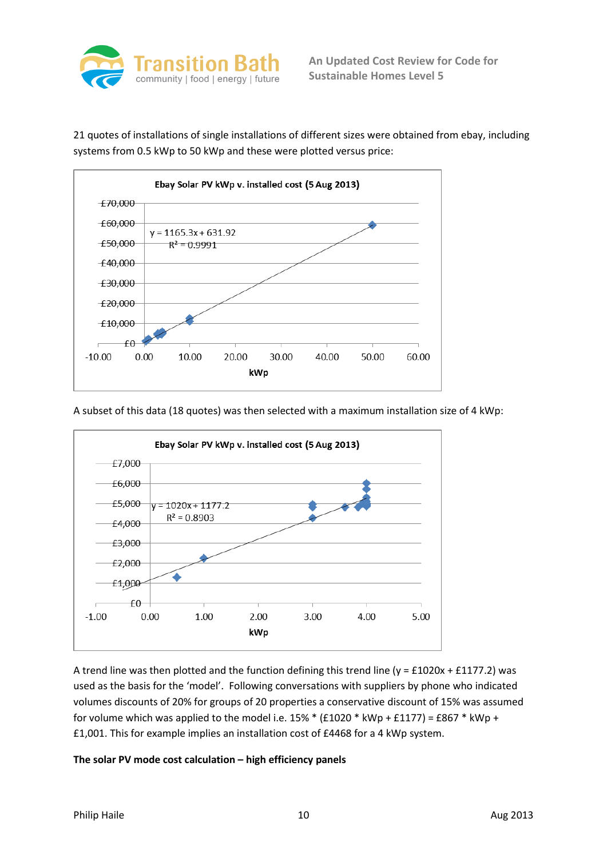

21 quotes of installations of single installations of different sizes were obtained from ebay, including systems from 0.5 kWp to 50 kWp and these were plotted versus price:



A subset of this data (18 quotes) was then selected with a maximum installation size of 4 kWp:



A trend line was then plotted and the function defining this trend line (y = £1020x + £1177.2) was used as the basis for the 'model'. Following conversations with suppliers by phone who indicated volumes discounts of 20% for groups of 20 properties a conservative discount of 15% was assumed for volume which was applied to the model i.e.  $15\%$  \* (£1020 \* kWp + £1177) = £867 \* kWp + £1,001. This for example implies an installation cost of £4468 for a 4 kWp system.

## **The solar PV mode cost calculation – high efficiency panels**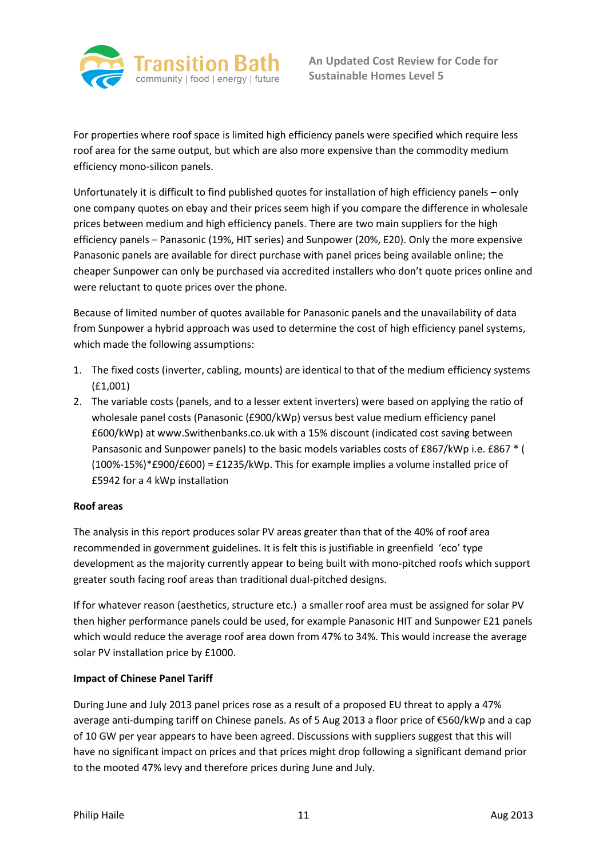

For properties where roof space is limited high efficiency panels were specified which require less roof area for the same output, but which are also more expensive than the commodity medium efficiency mono-silicon panels.

Unfortunately it is difficult to find published quotes for installation of high efficiency panels – only one company quotes on ebay and their prices seem high if you compare the difference in wholesale prices between medium and high efficiency panels. There are two main suppliers for the high efficiency panels – Panasonic (19%, HIT series) and Sunpower (20%, E20). Only the more expensive Panasonic panels are available for direct purchase with panel prices being available online; the cheaper Sunpower can only be purchased via accredited installers who don't quote prices online and were reluctant to quote prices over the phone.

Because of limited number of quotes available for Panasonic panels and the unavailability of data from Sunpower a hybrid approach was used to determine the cost of high efficiency panel systems, which made the following assumptions:

- 1. The fixed costs (inverter, cabling, mounts) are identical to that of the medium efficiency systems (£1,001)
- 2. The variable costs (panels, and to a lesser extent inverters) were based on applying the ratio of wholesale panel costs (Panasonic (£900/kWp) versus best value medium efficiency panel £600/kWp) at www.Swithenbanks.co.uk with a 15% discount (indicated cost saving between Pansasonic and Sunpower panels) to the basic models variables costs of £867/kWp i.e. £867 \* ( (100%-15%)\*£900/£600) = £1235/kWp. This for example implies a volume installed price of £5942 for a 4 kWp installation

## **Roof areas**

The analysis in this report produces solar PV areas greater than that of the 40% of roof area recommended in government guidelines. It is felt this is justifiable in greenfield 'eco' type development as the majority currently appear to being built with mono-pitched roofs which support greater south facing roof areas than traditional dual-pitched designs.

If for whatever reason (aesthetics, structure etc.) a smaller roof area must be assigned for solar PV then higher performance panels could be used, for example Panasonic HIT and Sunpower E21 panels which would reduce the average roof area down from 47% to 34%. This would increase the average solar PV installation price by £1000.

## **Impact of Chinese Panel Tariff**

During June and July 2013 panel prices rose as a result of a proposed EU threat to apply a 47% average anti-dumping tariff on Chinese panels. As of 5 Aug 2013 a floor price of €560/kWp and a cap of 10 GW per year appears to have been agreed. Discussions with suppliers suggest that this will have no significant impact on prices and that prices might drop following a significant demand prior to the mooted 47% levy and therefore prices during June and July.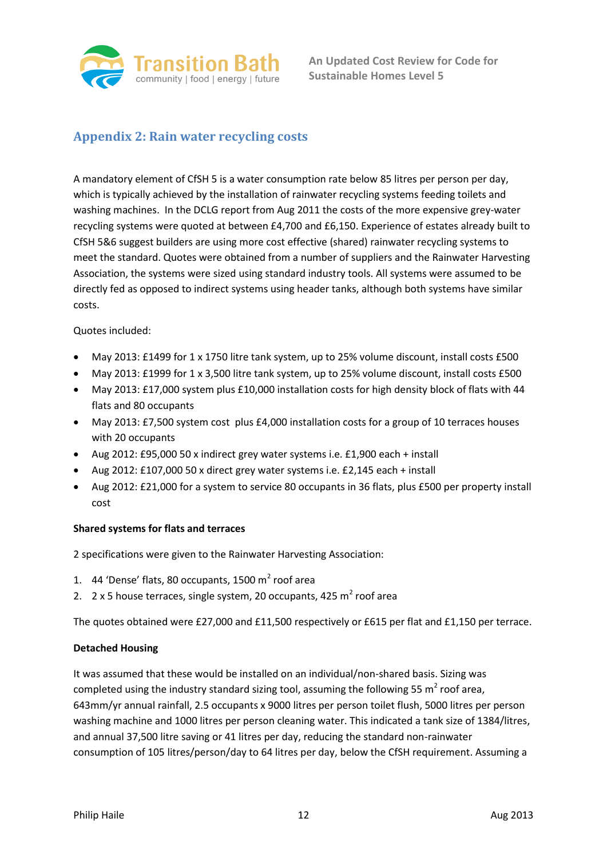

## **Appendix 2: Rain water recycling costs**

A mandatory element of CfSH 5 is a water consumption rate below 85 litres per person per day, which is typically achieved by the installation of rainwater recycling systems feeding toilets and washing machines. In the DCLG report from Aug 2011 the costs of the more expensive grey-water recycling systems were quoted at between £4,700 and £6,150. Experience of estates already built to CfSH 5&6 suggest builders are using more cost effective (shared) rainwater recycling systems to meet the standard. Quotes were obtained from a number of suppliers and the Rainwater Harvesting Association, the systems were sized using standard industry tools. All systems were assumed to be directly fed as opposed to indirect systems using header tanks, although both systems have similar costs.

Quotes included:

- May 2013: £1499 for 1 x 1750 litre tank system, up to 25% volume discount, install costs £500
- May 2013: £1999 for 1 x 3,500 litre tank system, up to 25% volume discount, install costs £500
- May 2013: £17,000 system plus £10,000 installation costs for high density block of flats with 44 flats and 80 occupants
- May 2013: £7,500 system cost plus £4,000 installation costs for a group of 10 terraces houses with 20 occupants
- Aug 2012: £95,000 50 x indirect grey water systems i.e. £1,900 each + install
- Aug 2012: £107,000 50 x direct grey water systems i.e. £2,145 each + install
- Aug 2012: £21,000 for a system to service 80 occupants in 36 flats, plus £500 per property install cost

## **Shared systems for flats and terraces**

2 specifications were given to the Rainwater Harvesting Association:

- 1.  $\,$  44 'Dense' flats, 80 occupants, 1500 m<sup>2</sup> roof area
- 2.  $2 \times 5$  house terraces, single system, 20 occupants, 425 m<sup>2</sup> roof area

The quotes obtained were £27,000 and £11,500 respectively or £615 per flat and £1,150 per terrace.

## **Detached Housing**

It was assumed that these would be installed on an individual/non-shared basis. Sizing was completed using the industry standard sizing tool, assuming the following 55  $m^2$  roof area, 643mm/yr annual rainfall, 2.5 occupants x 9000 litres per person toilet flush, 5000 litres per person washing machine and 1000 litres per person cleaning water. This indicated a tank size of 1384/litres, and annual 37,500 litre saving or 41 litres per day, reducing the standard non-rainwater consumption of 105 litres/person/day to 64 litres per day, below the CfSH requirement. Assuming a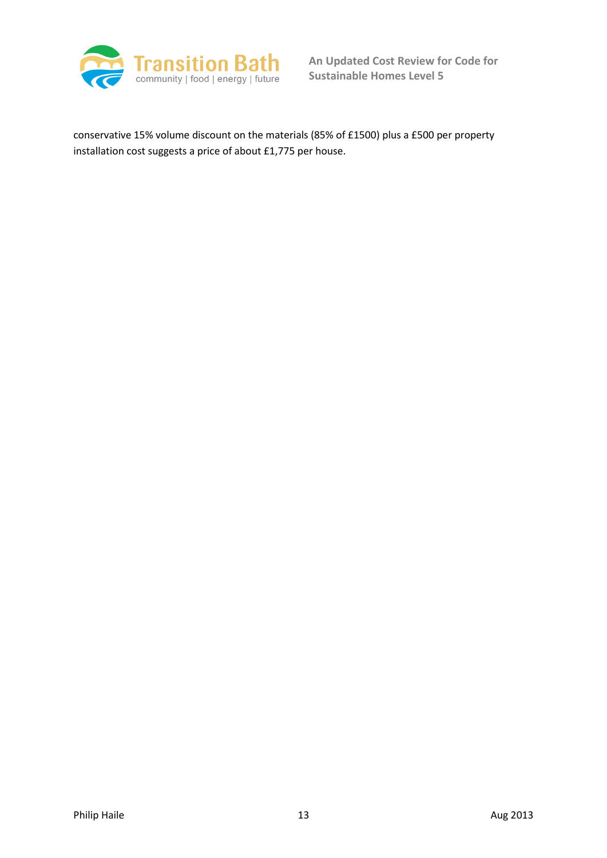

conservative 15% volume discount on the materials (85% of £1500) plus a £500 per property installation cost suggests a price of about £1,775 per house.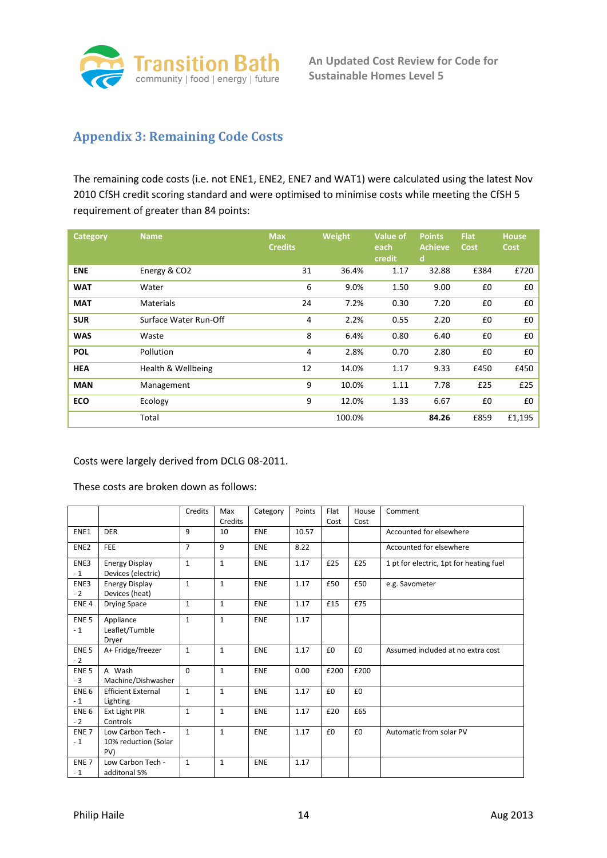

## **Appendix 3: Remaining Code Costs**

The remaining code costs (i.e. not ENE1, ENE2, ENE7 and WAT1) were calculated using the latest Nov 2010 CfSH credit scoring standard and were optimised to minimise costs while meeting the CfSH 5 requirement of greater than 84 points:

| Category   | <b>Name</b>           | <b>Max</b><br><b>Credits</b> | Weight | <b>Value of</b><br>each<br>credit | <b>Points</b><br><b>Achieve</b><br>d | <b>Flat</b><br><b>Cost</b> | <b>House</b><br><b>Cost</b> |
|------------|-----------------------|------------------------------|--------|-----------------------------------|--------------------------------------|----------------------------|-----------------------------|
| <b>ENE</b> | Energy & CO2          | 31                           | 36.4%  | 1.17                              | 32.88                                | £384                       | £720                        |
| <b>WAT</b> | Water                 | 6                            | 9.0%   | 1.50                              | 9.00                                 | £0                         | £0                          |
| <b>MAT</b> | <b>Materials</b>      | 24                           | 7.2%   | 0.30                              | 7.20                                 | £0                         | £0                          |
| <b>SUR</b> | Surface Water Run-Off | 4                            | 2.2%   | 0.55                              | 2.20                                 | £0                         | £0                          |
| <b>WAS</b> | Waste                 | 8                            | 6.4%   | 0.80                              | 6.40                                 | £0                         | £0                          |
| <b>POL</b> | Pollution             | 4                            | 2.8%   | 0.70                              | 2.80                                 | £0                         | £0                          |
| <b>HEA</b> | Health & Wellbeing    | 12                           | 14.0%  | 1.17                              | 9.33                                 | £450                       | £450                        |
| <b>MAN</b> | Management            | 9                            | 10.0%  | 1.11                              | 7.78                                 | £25                        | £25                         |
| ECO        | Ecology               | 9                            | 12.0%  | 1.33                              | 6.67                                 | £0                         | £0                          |
|            | Total                 |                              | 100.0% |                                   | 84.26                                | £859                       | £1,195                      |

Costs were largely derived from DCLG 08-2011.

These costs are broken down as follows:

|                          |                                                  | Credits        | Max<br>Credits | Category   | Points | Flat<br>Cost | House<br>Cost | Comment                                 |
|--------------------------|--------------------------------------------------|----------------|----------------|------------|--------|--------------|---------------|-----------------------------------------|
| ENE1                     | <b>DER</b>                                       | 9              | 10             | <b>ENE</b> | 10.57  |              |               | Accounted for elsewhere                 |
| ENE <sub>2</sub>         | <b>FEE</b>                                       | $\overline{7}$ | 9              | <b>ENE</b> | 8.22   |              |               | Accounted for elsewhere                 |
| ENE3<br>$-1$             | <b>Energy Display</b><br>Devices (electric)      | $\mathbf{1}$   | $\mathbf{1}$   | <b>ENE</b> | 1.17   | £25          | £25           | 1 pt for electric, 1pt for heating fuel |
| ENE3<br>$-2$             | <b>Energy Display</b><br>Devices (heat)          | $\mathbf{1}$   | $\mathbf{1}$   | <b>ENE</b> | 1.17   | £50          | £50           | e.g. Savometer                          |
| ENE <sub>4</sub>         | <b>Drying Space</b>                              | $\mathbf{1}$   | $\mathbf{1}$   | <b>ENE</b> | 1.17   | £15          | £75           |                                         |
| ENE <sub>5</sub><br>$-1$ | Appliance<br>Leaflet/Tumble<br>Dryer             | $\mathbf{1}$   | $\mathbf{1}$   | <b>ENE</b> | 1.17   |              |               |                                         |
| ENE <sub>5</sub><br>$-2$ | A+ Fridge/freezer                                | $\mathbf{1}$   | $\mathbf{1}$   | <b>ENE</b> | 1.17   | £0           | £0            | Assumed included at no extra cost       |
| ENE <sub>5</sub><br>$-3$ | A Wash<br>Machine/Dishwasher                     | $\Omega$       | $\mathbf{1}$   | <b>ENE</b> | 0.00   | £200         | £200          |                                         |
| ENE <sub>6</sub><br>$-1$ | <b>Efficient External</b><br>Lighting            | $\mathbf{1}$   | $\mathbf{1}$   | <b>ENE</b> | 1.17   | £0           | £0            |                                         |
| ENE <sub>6</sub><br>- 2  | Ext Light PIR<br>Controls                        | $\mathbf{1}$   | $\mathbf{1}$   | <b>ENE</b> | 1.17   | £20          | £65           |                                         |
| ENE <sub>7</sub><br>$-1$ | Low Carbon Tech -<br>10% reduction (Solar<br>PV) | $\mathbf{1}$   | $\mathbf{1}$   | <b>ENE</b> | 1.17   | £0           | £0            | Automatic from solar PV                 |
| ENE <sub>7</sub><br>$-1$ | Low Carbon Tech -<br>additonal 5%                | $\mathbf{1}$   | $\mathbf{1}$   | ENE        | 1.17   |              |               |                                         |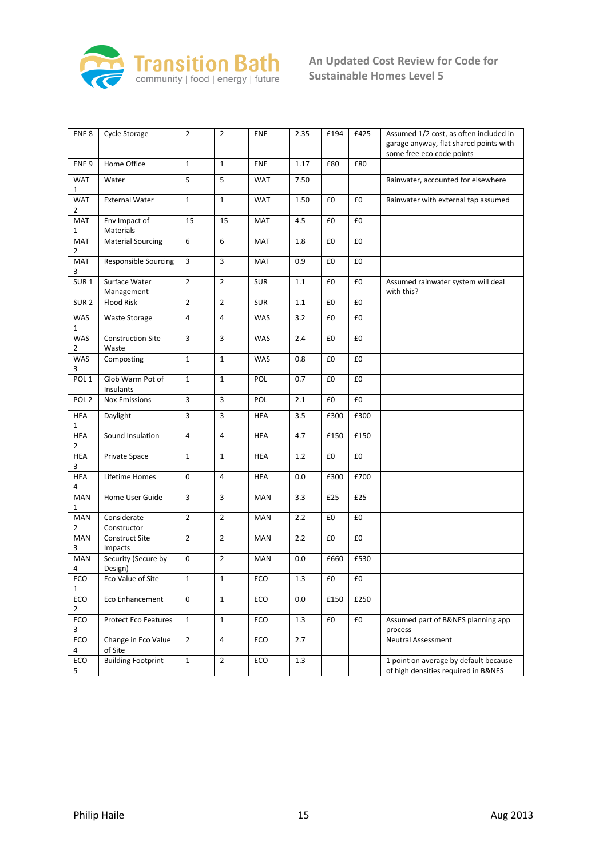

| ENE <sub>8</sub>             | Cycle Storage                     | $\overline{2}$ | $\overline{2}$ | ENE        | 2.35    | £194 | £425 | Assumed 1/2 cost, as often included in<br>garage anyway, flat shared points with<br>some free eco code points |
|------------------------------|-----------------------------------|----------------|----------------|------------|---------|------|------|---------------------------------------------------------------------------------------------------------------|
| ENE <sub>9</sub>             | Home Office                       | $\mathbf{1}$   | $\mathbf{1}$   | ENE        | 1.17    | £80  | £80  |                                                                                                               |
| <b>WAT</b><br>$\mathbf{1}$   | Water                             | 5              | 5              | <b>WAT</b> | 7.50    |      |      | Rainwater, accounted for elsewhere                                                                            |
| <b>WAT</b><br>$\overline{2}$ | <b>External Water</b>             | $\mathbf{1}$   | $\mathbf{1}$   | <b>WAT</b> | 1.50    | £0   | £0   | Rainwater with external tap assumed                                                                           |
| MAT<br>1                     | Env Impact of<br>Materials        | 15             | 15             | <b>MAT</b> | 4.5     | £0   | £0   |                                                                                                               |
| <b>MAT</b><br>$\overline{2}$ | <b>Material Sourcing</b>          | 6              | 6              | <b>MAT</b> | 1.8     | £0   | £0   |                                                                                                               |
| <b>MAT</b><br>3              | <b>Responsible Sourcing</b>       | $\overline{3}$ | 3              | <b>MAT</b> | 0.9     | £0   | £0   |                                                                                                               |
| SUR <sub>1</sub>             | Surface Water<br>Management       | $\overline{2}$ | $\overline{2}$ | <b>SUR</b> | 1.1     | £0   | £0   | Assumed rainwater system will deal<br>with this?                                                              |
| SUR <sub>2</sub>             | <b>Flood Risk</b>                 | $\overline{2}$ | $\overline{2}$ | <b>SUR</b> | 1.1     | £0   | £0   |                                                                                                               |
| WAS<br>1                     | <b>Waste Storage</b>              | $\overline{4}$ | $\overline{4}$ | WAS        | 3.2     | £0   | £0   |                                                                                                               |
| <b>WAS</b><br>$\overline{2}$ | <b>Construction Site</b><br>Waste | 3              | 3              | WAS        | 2.4     | £0   | £0   |                                                                                                               |
| <b>WAS</b><br>3              | Composting                        | $\mathbf{1}$   | $\mathbf{1}$   | WAS        | 0.8     | £0   | £0   |                                                                                                               |
| POL <sub>1</sub>             | Glob Warm Pot of<br>Insulants     | $\mathbf{1}$   | $\mathbf{1}$   | POL        | 0.7     | £0   | £0   |                                                                                                               |
| POL <sub>2</sub>             | <b>Nox Emissions</b>              | $\overline{3}$ | 3              | POL        | 2.1     | £0   | £0   |                                                                                                               |
| <b>HEA</b><br>$\mathbf{1}$   | Daylight                          | 3              | 3              | <b>HEA</b> | 3.5     | £300 | £300 |                                                                                                               |
| <b>HEA</b><br>2              | Sound Insulation                  | $\overline{4}$ | 4              | <b>HEA</b> | 4.7     | £150 | £150 |                                                                                                               |
| HEA<br>3                     | Private Space                     | $\mathbf{1}$   | $\mathbf{1}$   | <b>HEA</b> | $1.2\,$ | £0   | £0   |                                                                                                               |
| <b>HEA</b><br>4              | Lifetime Homes                    | $\mathbf 0$    | $\overline{4}$ | <b>HEA</b> | 0.0     | £300 | £700 |                                                                                                               |
| MAN<br>1                     | Home User Guide                   | 3              | 3              | <b>MAN</b> | 3.3     | £25  | E25  |                                                                                                               |
| <b>MAN</b><br>$\overline{2}$ | Considerate<br>Constructor        | $\overline{2}$ | $\overline{2}$ | MAN        | 2.2     | £0   | £0   |                                                                                                               |
| <b>MAN</b><br>3              | Construct Site<br>Impacts         | $\overline{2}$ | $\overline{2}$ | <b>MAN</b> | 2.2     | £0   | £0   |                                                                                                               |
| <b>MAN</b><br>4              | Security (Secure by<br>Design)    | $\mathbf 0$    | $\overline{2}$ | <b>MAN</b> | 0.0     | £660 | £530 |                                                                                                               |
| ECO<br>$\mathbf{1}$          | Eco Value of Site                 | $\mathbf{1}$   | $\mathbf{1}$   | ECO        | 1.3     | £0   | £0   |                                                                                                               |
| ECO<br>$\mathbf{2}$          | Eco Enhancement                   | 0              | $\mathbf 1$    | ECO        | 0.0     | £150 | £250 |                                                                                                               |
| ECO<br>3                     | <b>Protect Eco Features</b>       | $\mathbf{1}$   | $\mathbf 1$    | ECO        | 1.3     | £0   | £0   | Assumed part of B&NES planning app<br>process                                                                 |
| ECO<br>4                     | Change in Eco Value<br>of Site    | $\overline{2}$ | 4              | ECO        | 2.7     |      |      | Neutral Assessment                                                                                            |
| ECO<br>5                     | <b>Building Footprint</b>         | $\mathbf 1$    | $\overline{2}$ | ECO        | $1.3\,$ |      |      | 1 point on average by default because<br>of high densities required in B&NES                                  |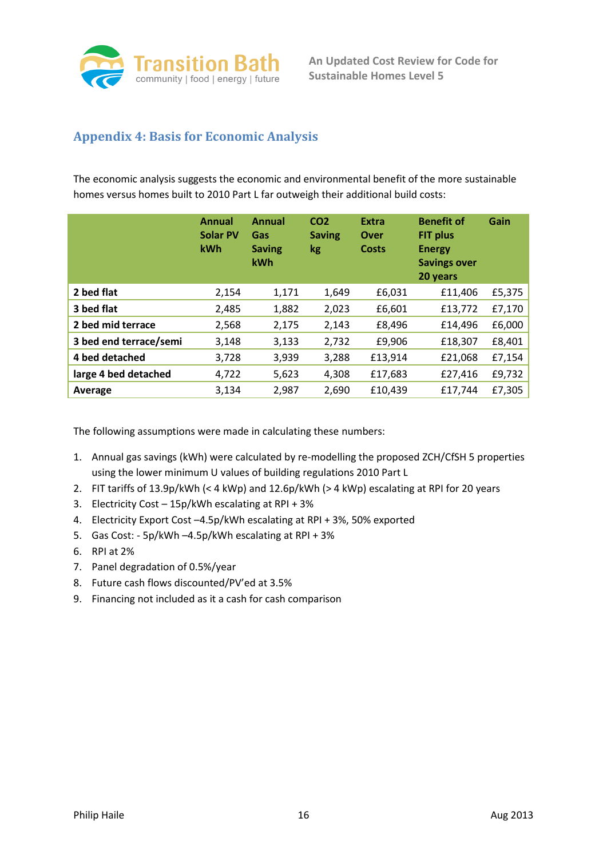

## **Appendix 4: Basis for Economic Analysis**

The economic analysis suggests the economic and environmental benefit of the more sustainable homes versus homes built to 2010 Part L far outweigh their additional build costs:

|                        | <b>Annual</b><br><b>Solar PV</b><br>kWh | <b>Annual</b><br>Gas<br><b>Saving</b><br>kWh | CO <sub>2</sub><br><b>Saving</b><br>kg | <b>Extra</b><br>Over<br>Costs | <b>Benefit of</b><br><b>FIT plus</b><br><b>Energy</b><br><b>Savings over</b><br>20 years | Gain   |
|------------------------|-----------------------------------------|----------------------------------------------|----------------------------------------|-------------------------------|------------------------------------------------------------------------------------------|--------|
| 2 bed flat             | 2,154                                   | 1,171                                        | 1,649                                  | £6,031                        | £11,406                                                                                  | £5,375 |
| 3 bed flat             | 2,485                                   | 1,882                                        | 2,023                                  | £6,601                        | £13,772                                                                                  | £7,170 |
| 2 bed mid terrace      | 2,568                                   | 2,175                                        | 2,143                                  | £8,496                        | £14,496                                                                                  | £6,000 |
| 3 bed end terrace/semi | 3,148                                   | 3,133                                        | 2,732                                  | £9,906                        | £18,307                                                                                  | £8,401 |
| 4 bed detached         | 3,728                                   | 3,939                                        | 3,288                                  | £13,914                       | £21,068                                                                                  | £7,154 |
| large 4 bed detached   | 4,722                                   | 5,623                                        | 4,308                                  | £17,683                       | £27,416                                                                                  | £9,732 |
| Average                | 3,134                                   | 2,987                                        | 2,690                                  | £10,439                       | £17,744                                                                                  | £7,305 |

The following assumptions were made in calculating these numbers:

- 1. Annual gas savings (kWh) were calculated by re-modelling the proposed ZCH/CfSH 5 properties using the lower minimum U values of building regulations 2010 Part L
- 2. FIT tariffs of 13.9p/kWh (< 4 kWp) and 12.6p/kWh (> 4 kWp) escalating at RPI for 20 years
- 3. Electricity Cost 15p/kWh escalating at RPI + 3%
- 4. Electricity Export Cost –4.5p/kWh escalating at RPI + 3%, 50% exported
- 5. Gas Cost: 5p/kWh –4.5p/kWh escalating at RPI + 3%
- 6. RPI at 2%
- 7. Panel degradation of 0.5%/year
- 8. Future cash flows discounted/PV'ed at 3.5%
- 9. Financing not included as it a cash for cash comparison